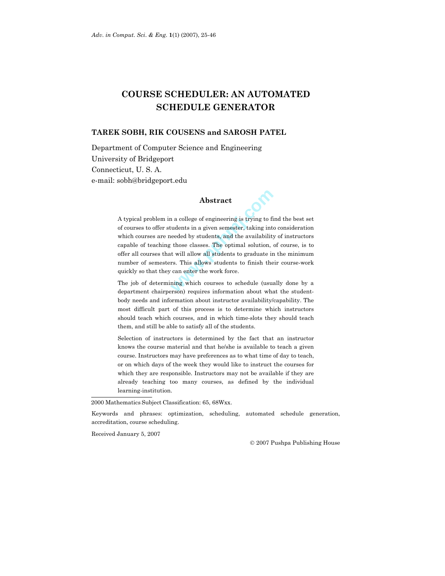# **COURSE SCHEDULER: AN AUTOMATED SCHEDULE GENERATOR**

### **TAREK SOBH, RIK COUSENS and SAROSH PATEL**

Department of Computer Science and Engineering University of Bridgeport Connecticut, U. S. A. e-mail: sobh@bridgeport.edu

# **Abstract**

**Abstract**<br>a college of engineering is trying to fit<br>indents in a given semester, taking intereded by students, and the availability<br>those classes. The optimal solution,<br>it will allow all students to graduate in<br>rs. This a A typical problem in a college of engineering is trying to find the best set of courses to offer students in a given semester, taking into consideration which courses are needed by students, and the availability of instructors capable of teaching those classes. The optimal solution, of course, is to offer all courses that will allow all students to graduate in the minimum number of semesters. This allows students to finish their course-work quickly so that they can enter the work force.

The job of determining which courses to schedule (usually done by a department chairperson) requires information about what the studentbody needs and information about instructor availability/capability. The most difficult part of this process is to determine which instructors should teach which courses, and in which time-slots they should teach them, and still be able to satisfy all of the students.

Selection of instructors is determined by the fact that an instructor knows the course material and that he/she is available to teach a given course. Instructors may have preferences as to what time of day to teach, or on which days of the week they would like to instruct the courses for which they are responsible. Instructors may not be available if they are already teaching too many courses, as defined by the individual learning-institution.

2000 Mathematics Subject Classification: 65, 68Wxx.

Keywords and phrases: optimization, scheduling, automated schedule generation, accreditation, course scheduling.

Received January 5, 2007

2007 Pushpa Publishing House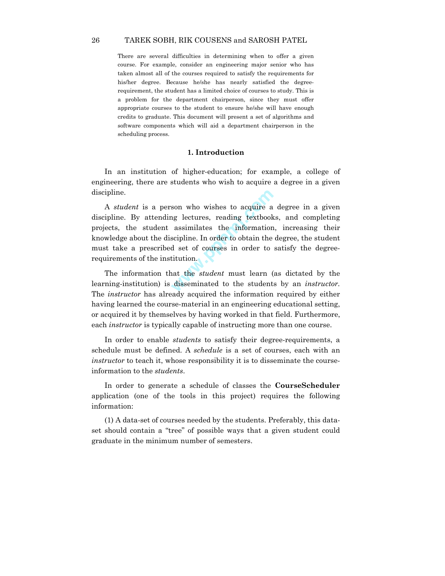There are several difficulties in determining when to offer a given course. For example, consider an engineering major senior who has taken almost all of the courses required to satisfy the requirements for his/her degree. Because he/she has nearly satisfied the degreerequirement, the student has a limited choice of courses to study. This is a problem for the department chairperson, since they must offer appropriate courses to the student to ensure he/she will have enough credits to graduate. This document will present a set of algorithms and software components which will aid a department chairperson in the scheduling process.

### **1. Introduction**

In an institution of higher-education; for example, a college of engineering, there are students who wish to acquire a degree in a given discipline.

son who wishes to acquire a<br>ng lectures, reading textbook<br>assimilates the information<br>scipline. In order to obtain the<br>d set of courses in order to<br>titution.<br>nat the *student* must learn (<br>disseminated to the student A *student* is a person who wishes to acquire a degree in a given discipline. By attending lectures, reading textbooks, and completing projects, the student assimilates the information, increasing their knowledge about the discipline. In order to obtain the degree, the student must take a prescribed set of courses in order to satisfy the degreerequirements of the institution.

The information that the *student* must learn (as dictated by the learning-institution) is disseminated to the students by an *instructor.* The *instructor* has already acquired the information required by either having learned the course-material in an engineering educational setting, or acquired it by themselves by having worked in that field. Furthermore, each *instructor* is typically capable of instructing more than one course.

In order to enable *students* to satisfy their degree-requirements, a schedule must be defined. A *schedule* is a set of courses, each with an *instructor* to teach it, whose responsibility it is to disseminate the courseinformation to the *students*.

In order to generate a schedule of classes the **CourseScheduler** application (one of the tools in this project) requires the following information:

(1) A data-set of courses needed by the students. Preferably, this dataset should contain a "tree" of possible ways that a given student could graduate in the minimum number of semesters.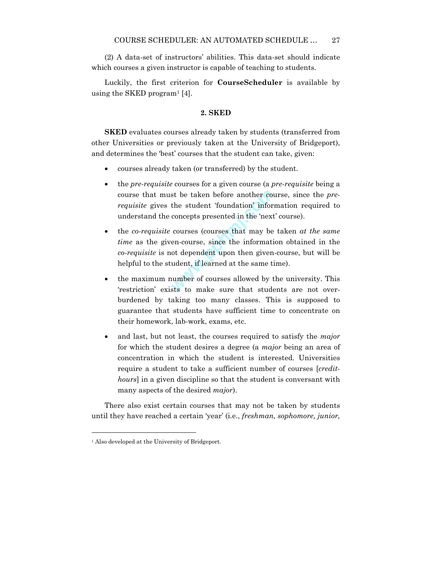(2) A data-set of instructors' abilities. This data-set should indicate which courses a given instructor is capable of teaching to students.

Luckily, the first criterion for **CourseScheduler** is available by using the SKED program<sup>1</sup> [4].

### **2. SKED**

**SKED** evaluates courses already taken by students (transferred from other Universities or previously taken at the University of Bridgeport), and determines the 'best' courses that the student can take, given:

- courses already taken (or transferred) by the student.
- the *pre-requisite* courses for a given course (a *pre*-*requisite* being a course that must be taken before another course, since the *prerequisite* gives the student 'foundation' information required to understand the concepts presented in the 'next' course).
- st be taken before another completed the student 'foundation' inform<br>concepts presented in the 'next<br>courses (courses that may be<br>en-course, since the information<br>of dependent upon then given<br>udent, if learned at the same • the *co-requisite* courses (courses that may be taken *at the same time* as the given-course, since the information obtained in the *co*-*requisite* is not dependent upon then given-course, but will be helpful to the student, if learned at the same time).
- the maximum number of courses allowed by the university. This 'restriction' exists to make sure that students are not overburdened by taking too many classes. This is supposed to guarantee that students have sufficient time to concentrate on their homework, lab-work, exams, etc.
- and last, but not least, the courses required to satisfy the *major* for which the student desires a degree (a *major* being an area of concentration in which the student is interested. Universities require a student to take a sufficient number of courses [*credithours*] in a given discipline so that the student is conversant with many aspects of the desired *major*).

There also exist certain courses that may not be taken by students until they have reached a certain 'year' (i.e., *freshman, sophomore, junior,*

1

<sup>&</sup>lt;sup>1</sup> Also developed at the University of Bridgeport.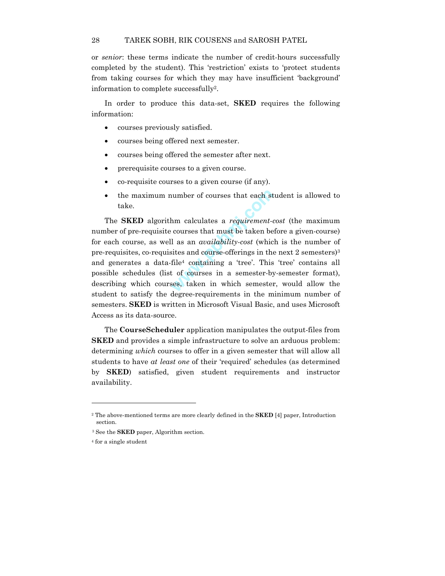or *senior*: these terms indicate the number of credit-hours successfully completed by the student). This 'restriction' exists to 'protect students from taking courses for which they may have insufficient 'background' information to complete successfully2.

In order to produce this data-set, **SKED** requires the following information:

- courses previously satisfied.
- courses being offered next semester.
- courses being offered the semester after next.
- prerequisite courses to a given course.
- co-requisite courses to a given course (if any).
- the maximum number of courses that each student is allowed to take.

number of courses that each st<br>
hm calculates a *requirement*-<br>
courses that must be taken be<br>
l as an *availability-cost* (whic<br>
sites and course-offerings in the<br>
file<sup>4</sup> containing a 'tree'. This<br>
t of courses in a seme The **SKED** algorithm calculates a *requirement*-*cost* (the maximum number of pre-requisite courses that must be taken before a given-course) for each course, as well as an *availability*-*cost* (which is the number of pre-requisites, co-requisites and course-offerings in the next 2 semesters)<sup>3</sup> and generates a data-file4 containing a 'tree'. This 'tree' contains all possible schedules (list of courses in a semester-by-semester format), describing which courses, taken in which semester, would allow the student to satisfy the degree-requirements in the minimum number of semesters. **SKED** is written in Microsoft Visual Basic, and uses Microsoft Access as its data-source.

The **CourseScheduler** application manipulates the output-files from **SKED** and provides a simple infrastructure to solve an arduous problem: determining *which* courses to offer in a given semester that will allow all students to have *at least one* of their 'required' schedules (as determined by **SKED**) satisfied, given student requirements and instructor availability.

<sup>2</sup> The above-mentioned terms are more clearly defined in the **SKED** [4] paper, Introduction section.

<sup>3</sup> See the **SKED** paper, Algorithm section.

<sup>4</sup> for a single student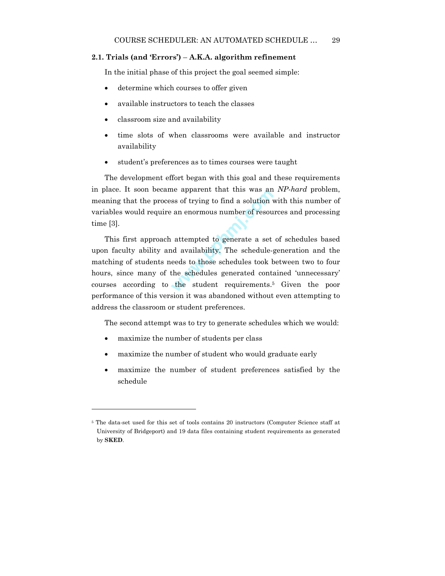### **2.1. Trials (and 'Errors')** – **A.K.A. algorithm refinement**

In the initial phase of this project the goal seemed simple:

- determine which courses to offer given
- available instructors to teach the classes
- classroom size and availability
- time slots of when classrooms were available and instructor availability
- student's preferences as to times courses were taught

The development effort began with this goal and these requirements in place. It soon became apparent that this was an *NP-hard* problem, meaning that the process of trying to find a solution with this number of variables would require an enormous number of resources and processing time [3].

was and<br>ss of trying to find a solution v<br>an enormous number of resourant<br>attempted to generate a set<br>d availability. The schedule-<br>eeds to those schedules took b<br>the schedules generated contains the student requirements.<sup></sup> This first approach attempted to generate a set of schedules based upon faculty ability and availability. The schedule-generation and the matching of students needs to those schedules took between two to four hours, since many of the schedules generated contained 'unnecessary' courses according to the student requirements.5 Given the poor performance of this version it was abandoned without even attempting to address the classroom or student preferences.

The second attempt was to try to generate schedules which we would:

• maximize the number of students per class

- maximize the number of student who would graduate early
- maximize the number of student preferences satisfied by the schedule

<sup>5</sup> The data-set used for this set of tools contains 20 instructors (Computer Science staff at University of Bridgeport) and 19 data files containing student requirements as generated by **SKED**.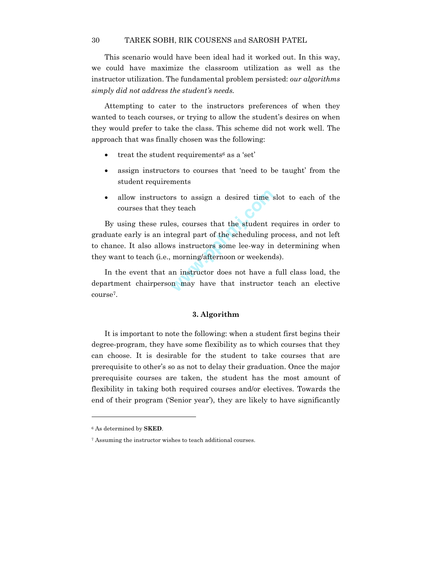This scenario would have been ideal had it worked out. In this way, we could have maximize the classroom utilization as well as the instructor utilization. The fundamental problem persisted: *our algorithms simply did not address the student's needs.*

Attempting to cater to the instructors preferences of when they wanted to teach courses, or trying to allow the student's desires on when they would prefer to take the class. This scheme did not work well. The approach that was finally chosen was the following:

- treat the student requirements<sup>6</sup> as a 'set'
- assign instructors to courses that 'need to be taught' from the student requirements
- allow instructors to assign a desired time slot to each of the courses that they teach

rs to assign a desired time s<br>by teach<br>es, courses that the student r<br>tegral part of the scheduling p<br>rs instructors some lee-way in<br>morning/afternoon or weekend<br>an instructor does not have a<br>m may have that instructor By using these rules, courses that the student requires in order to graduate early is an integral part of the scheduling process, and not left to chance. It also allows instructors some lee-way in determining when they want to teach (i.e., morning/afternoon or weekends).

In the event that an instructor does not have a full class load, the department chairperson may have that instructor teach an elective course7.

#### **3. Algorithm**

It is important to note the following: when a student first begins their degree-program, they have some flexibility as to which courses that they can choose. It is desirable for the student to take courses that are prerequisite to other's so as not to delay their graduation. Once the major prerequisite courses are taken, the student has the most amount of flexibility in taking both required courses and/or electives. Towards the end of their program ('Senior year'), they are likely to have significantly

<sup>6</sup> As determined by **SKED**.

<sup>7</sup> Assuming the instructor wishes to teach additional courses.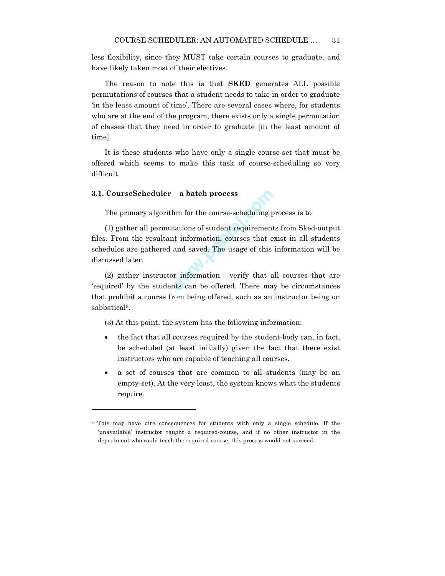less flexibility, since they MUST take certain courses to graduate, and have likely taken most of their electives.

The reason to note this is that **SKED** generates ALL possible permutations of courses that a student needs to take in order to graduate 'in the least amount of time'. There are several cases where, for students who are at the end of the program, there exists only a single permutation of classes that they need in order to graduate [in the least amount of time].

It is these students who have only a single course-set that must be offered which seems to make this task of course-scheduling so very difficult.

#### **3.1. CourseScheduler** – **a batch process**

l

The primary algorithm for the course-scheduling process is to

- a batch process<br>hm for the course-scheduling p<br>tations of student requirement<br>nt information, courses that e<br>and saved. The usage of this<br>or information - verify that a<br>nts can be offered. There ma (1) gather all permutations of student requirements from Sked-output files. From the resultant information, courses that exist in all students schedules are gathered and saved. The usage of this information will be discussed later.

(2) gather instructor information - verify that all courses that are 'required' by the students can be offered. There may be circumstances that prohibit a course from being offered, such as an instructor being on sabbatical8.

(3) At this point, the system has the following information:

- the fact that all courses required by the student-body can, in fact, be scheduled (at least initially) given the fact that there exist instructors who are capable of teaching all courses.
- a set of courses that are common to all students (may be an empty-set). At the very least, the system knows what the students require.

<sup>8</sup> This may have dire consequences for students with only a single schedule. If the 'unavailable' instructor taught a required-course, and if no other instructor in the department who could teach the required-course, this process would not succeed.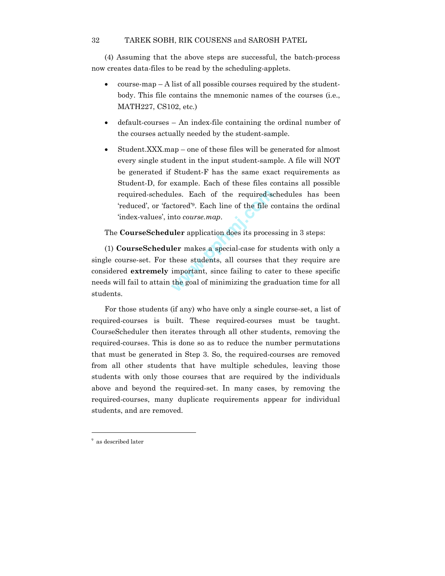(4) Assuming that the above steps are successful, the batch-process now creates data-files to be read by the scheduling-applets.

- $\frac{1}{2}$  course-map A list of all possible courses required by the studentbody. This file contains the mnemonic names of the courses (i.e., MATH227, CS102, etc.)
- default-courses An index-file containing the ordinal number of the courses actually needed by the student-sample.
- Student.XXX.map one of these files will be generated for almost every single student in the input student-sample. A file will NOT be generated if Student-F has the same exact requirements as Student-D, for example. Each of these files contains all possible required-schedules. Each of the required-schedules has been 'reduced', or 'factored'9. Each line of the file contains the ordinal 'index-values', into *course.map*.

The **CourseScheduler** application does its processing in 3 steps:

ides. Each of the required-set<br>orded<sup>39</sup>. Each line of the file conto *course.map*.<br>**uler** application does its proces<br>**ler** makes a special-case for st<br>these students, all courses the<br>important, since failing to cat<br>the g (1) **CourseScheduler** makes a special-case for students with only a single course-set. For these students, all courses that they require are considered **extremely** important, since failing to cater to these specific needs will fail to attain the goal of minimizing the graduation time for all students.

For those students (if any) who have only a single course-set, a list of required-courses is built. These required-courses must be taught. CourseScheduler then iterates through all other students, removing the required-courses. This is done so as to reduce the number permutations that must be generated in Step 3. So, the required-courses are removed from all other students that have multiple schedules, leaving those students with only those courses that are required by the individuals above and beyond the required-set. In many cases, by removing the required-courses, many duplicate requirements appear for individual students, and are removed.

-

<sup>9</sup> as described later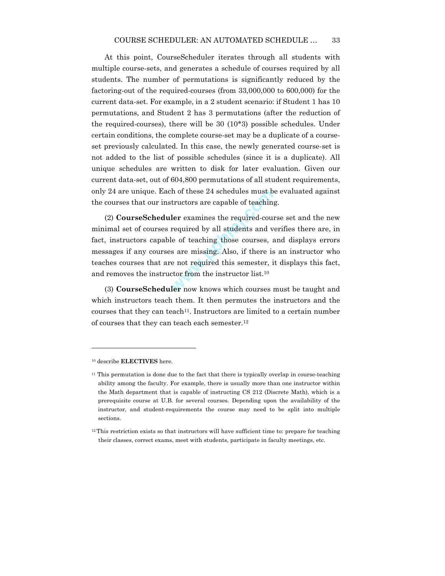At this point, CourseScheduler iterates through all students with multiple course-sets, and generates a schedule of courses required by all students. The number of permutations is significantly reduced by the factoring-out of the required-courses (from 33,000,000 to 600,000) for the current data-set. For example, in a 2 student scenario: if Student 1 has 10 permutations, and Student 2 has 3 permutations (after the reduction of the required-courses), there will be 30 (10\*3) possible schedules. Under certain conditions, the complete course-set may be a duplicate of a courseset previously calculated. In this case, the newly generated course-set is not added to the list of possible schedules (since it is a duplicate). All unique schedules are written to disk for later evaluation. Given our current data-set, out of 604,800 permutations of all student requirements, only 24 are unique. Each of these 24 schedules must be evaluated against the courses that our instructors are capable of teaching.

A of these 24 schedules must b<br>tructors are capable of teachin<br>**ler** examines the required-cour<br>required by all students and v<br>le of teaching those courses, a<br>s are missing. Also, if there is<br>e not required this semester, (2) **CourseScheduler** examines the required-course set and the new minimal set of courses required by all students and verifies there are, in fact, instructors capable of teaching those courses, and displays errors messages if any courses are missing. Also, if there is an instructor who teaches courses that are not required this semester, it displays this fact, and removes the instructor from the instructor list.10

(3) **CourseScheduler** now knows which courses must be taught and which instructors teach them. It then permutes the instructors and the courses that they can teach<sup>11</sup>. Instructors are limited to a certain number of courses that they can teach each semester.12

<sup>10</sup> describe **ELECTIVES** here.

 $11$  This permutation is done due to the fact that there is typically overlap in course-teaching ability among the faculty. For example, there is usually more than one instructor within the Math department that is capable of instructing CS 212 (Discrete Math), which is a prerequisite course at U.B. for several courses. Depending upon the availability of the instructor, and student-requirements the course may need to be split into multiple sections.

<sup>&</sup>lt;sup>12</sup> This restriction exists so that instructors will have sufficient time to: prepare for teaching their classes, correct exams, meet with students, participate in faculty meetings, etc.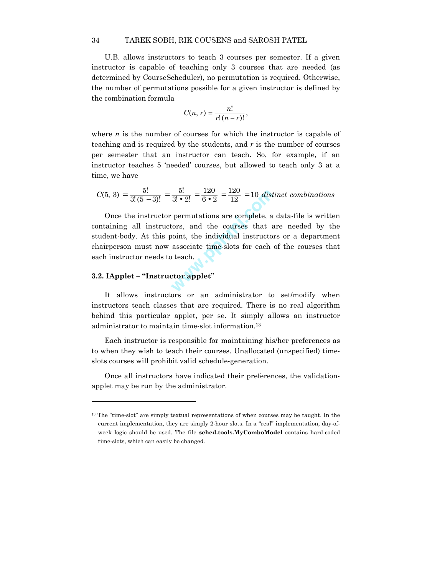U.B. allows instructors to teach 3 courses per semester. If a given instructor is capable of teaching only 3 courses that are needed (as determined by CourseScheduler), no permutation is required. Otherwise, the number of permutations possible for a given instructor is defined by the combination formula

$$
C(n, r) = \frac{n!}{r!(n-r)!},
$$

where  $n$  is the number of courses for which the instructor is capable of teaching and is required by the students, and *r* is the number of courses per semester that an instructor can teach. So, for example, if an instructor teaches 5 'needed' courses, but allowed to teach only 3 at a time, we have

$$
C(5, 3) = \frac{5!}{3!(5-3)!} = \frac{5!}{3! \cdot 2!} = \frac{120}{6 \cdot 2} = \frac{120}{12} = 10 \text{ distinct combinations}
$$

 $\frac{5!}{3! \cdot 2!} = \frac{120}{6 \cdot 2} = \frac{120}{12} = 10$  dist<br>permutations are complete, a<br>tors, and the courses that a<br>point, the individual instructor<br>associate time-slots for each<br>b teach. Once the instructor permutations are complete, a data-file is written containing all instructors, and the courses that are needed by the student-body. At this point, the individual instructors or a department chairperson must now associate time-slots for each of the courses that each instructor needs to teach.

# **3.2. IApplet – "Instructor applet"**

l

It allows instructors or an administrator to set/modify when instructors teach classes that are required. There is no real algorithm behind this particular applet, per se. It simply allows an instructor administrator to maintain time-slot information.13

Each instructor is responsible for maintaining his/her preferences as to when they wish to teach their courses. Unallocated (unspecified) timeslots courses will prohibit valid schedule-generation.

Once all instructors have indicated their preferences, the validationapplet may be run by the administrator.

<sup>&</sup>lt;sup>13</sup> The "time-slot" are simply textual representations of when courses may be taught. In the current implementation, they are simply 2-hour slots. In a "real" implementation, day-ofweek logic should be used. The file **sched.tools.MyComboModel** contains hard-coded time-slots, which can easily be changed.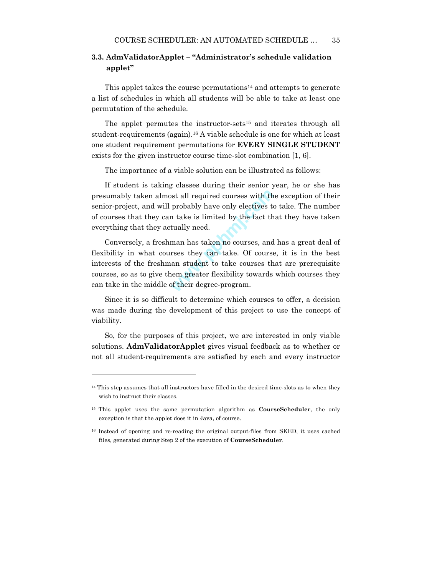# **3.3. AdmValidatorApplet – "Administrator's schedule validation applet"**

This applet takes the course permutations<sup>14</sup> and attempts to generate a list of schedules in which all students will be able to take at least one permutation of the schedule.

The applet permutes the instructor-sets<sup>15</sup> and iterates through all student-requirements (again).16 A viable schedule is one for which at least one student requirement permutations for **EVERY SINGLE STUDENT** exists for the given instructor course time-slot combination [1, 6].

The importance of a viable solution can be illustrated as follows:

If student is taking classes during their senior year, he or she has presumably taken almost all required courses with the exception of their senior-project, and will probably have only electives to take. The number of courses that they can take is limited by the fact that they have taken everything that they actually need.

Solution is all required courses with the<br>probably have only electives to<br>n take is limited by the fact the<br>tually need.<br>man has taken no courses, and<br>rses they can take. Of course<br>an student to take courses the<br>nem greate Conversely, a freshman has taken no courses, and has a great deal of flexibility in what courses they can take. Of course, it is in the best interests of the freshman student to take courses that are prerequisite courses, so as to give them greater flexibility towards which courses they can take in the middle of their degree-program.

Since it is so difficult to determine which courses to offer, a decision was made during the development of this project to use the concept of viability.

So, for the purposes of this project, we are interested in only viable solutions. **AdmValidatorApplet** gives visual feedback as to whether or not all student-requirements are satisfied by each and every instructor

<sup>&</sup>lt;sup>14</sup> This step assumes that all instructors have filled in the desired time-slots as to when they wish to instruct their classes.

<sup>15</sup> This applet uses the same permutation algorithm as **CourseScheduler**, the only exception is that the applet does it in Java, of course.

<sup>16</sup> Instead of opening and re-reading the original output-files from SKED, it uses cached files, generated during Step 2 of the execution of **CourseScheduler**.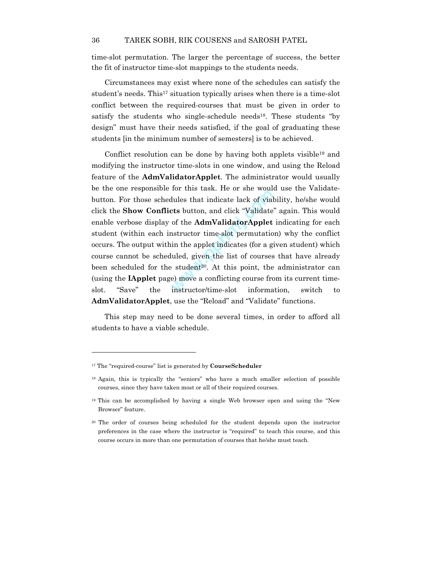time-slot permutation. The larger the percentage of success, the better the fit of instructor time-slot mappings to the students needs.

Circumstances may exist where none of the schedules can satisfy the student's needs. This<sup>17</sup> situation typically arises when there is a time-slot conflict between the required-courses that must be given in order to satisfy the students who single-schedule needs<sup>18</sup>. These students "by design" must have their needs satisfied, if the goal of graduating these students [in the minimum number of semesters] is to be achieved.

for this task. He of she would<br>dules that indicate lack of vial<br>of the **AdmValidatorApplet**<br>nstructor time-slot permutatio<br>in the applet indicates (for a g<br>luled, given the list of courses<br>e student<sup>20</sup>. At this point, the Conflict resolution can be done by having both applets visible19 and modifying the instructor time-slots in one window, and using the Reload feature of the **AdmValidatorApplet**. The administrator would usually be the one responsible for this task. He or she would use the Validatebutton. For those schedules that indicate lack of viability, he/she would click the **Show Conflicts** button, and click "Validate" again. This would enable verbose display of the **AdmValidatorApplet** indicating for each student (within each instructor time-slot permutation) why the conflict occurs. The output within the applet indicates (for a given student) which course cannot be scheduled, given the list of courses that have already been scheduled for the student<sup>20</sup>. At this point, the administrator can (using the **IApplet** page) move a conflicting course from its current timeslot. "Save" the instructor/time-slot information, switch to **AdmValidatorApplet**, use the "Reload" and "Validate" functions.

This step may need to be done several times, in order to afford all students to have a viable schedule.

1

<sup>17</sup> The "required-course" list is generated by **CourseScheduler**

<sup>18</sup> Again, this is typically the "seniors" who have a much smaller selection of possible courses, since they have taken most or all of their required courses.

<sup>19</sup> This can be accomplished by having a single Web browser open and using the "New Browser" feature.

<sup>20</sup> The order of courses being scheduled for the student depends upon the instructor preferences in the case where the instructor is "required" to teach this course, and this course occurs in more than one permutation of courses that he/she must teach.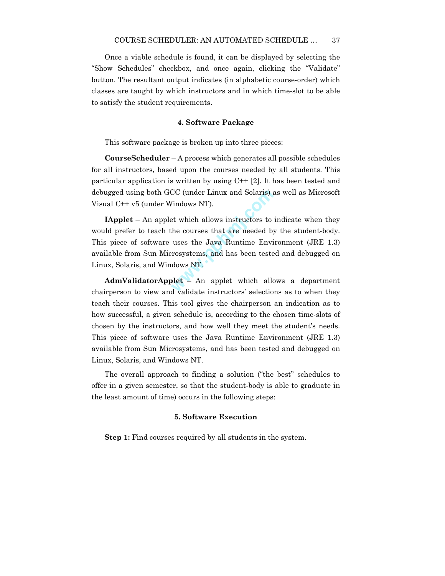Once a viable schedule is found, it can be displayed by selecting the "Show Schedules" checkbox, and once again, clicking the "Validate" button. The resultant output indicates (in alphabetic course-order) which classes are taught by which instructors and in which time-slot to be able to satisfy the student requirements.

### **4. Software Package**

This software package is broken up into three pieces:

**CourseScheduler** – A process which generates all possible schedules for all instructors, based upon the courses needed by all students. This particular application is written by using C++ [2]. It has been tested and debugged using both GCC (under Linux and Solaris) as well as Microsoft Visual C++ v5 (under Windows NT).

CC (under Linux and Solaris) :<br>
Vindows NT).<br>
et which allows instructors to<br>
the courses that are needed by<br>
uses the Java Runtime Envi<br>
rrosystems, and has been tests<br>
dows NT.<br>
plet – An applet which allowed validate in **IApplet** – An applet which allows instructors to indicate when they would prefer to teach the courses that are needed by the student-body. This piece of software uses the Java Runtime Environment (JRE 1.3) available from Sun Microsystems, and has been tested and debugged on Linux, Solaris, and Windows NT.

**AdmValidatorApplet** – An applet which allows a department chairperson to view and validate instructors' selections as to when they teach their courses. This tool gives the chairperson an indication as to how successful, a given schedule is, according to the chosen time-slots of chosen by the instructors, and how well they meet the student's needs. This piece of software uses the Java Runtime Environment (JRE 1.3) available from Sun Microsystems, and has been tested and debugged on Linux, Solaris, and Windows NT.

The overall approach to finding a solution ("the best" schedules to offer in a given semester, so that the student-body is able to graduate in the least amount of time) occurs in the following steps:

### **5. Software Execution**

**Step 1:** Find courses required by all students in the system.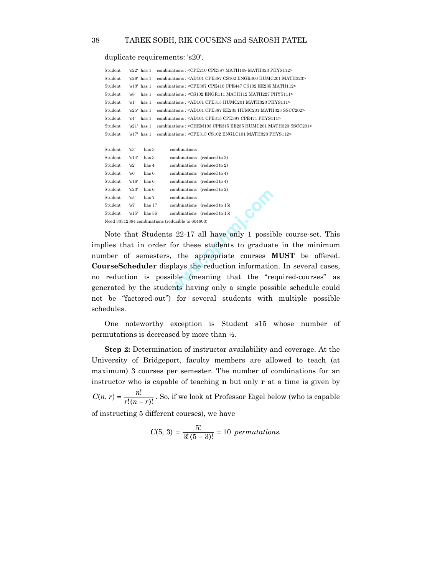duplicate requirements: 's20'.

Student 's15' has 36 combinations (reduced to 15) Need 33312384 combinations (reducible to 604800)

| Student |       | 's22' has 1     | combinations: <cpe210 cpe387="" math109="" math323="" phys112=""></cpe210>            |
|---------|-------|-----------------|---------------------------------------------------------------------------------------|
| Student |       | $'s26'$ has 1   | combinations: <ad101 cpe387="" cs102="" engr300="" humc201="" math323=""></ad101>     |
| Student |       | $'s13'$ has $1$ | combinations: <cpe387 cpe410="" cpe447="" cs102="" ee235="" math112=""></cpe387>      |
| Student | 's8'  | has 1           | combinations: <cs102 engr111="" math112="" math227="" phys111=""></cs102>             |
| Student | 's1'  | has 1           | combinations: <ad101 cpe315="" humc201="" math323="" phys111=""></ad101>              |
| Student |       | $'s25'$ has 1   | combinations: <ad101 cpe387="" ee235="" humc201="" math323="" sscc202=""></ad101>     |
| Student | 's4'  | has 1           | combinations: <ad101 cpe315="" cpe387="" cpe471="" phys111=""></ad101>                |
| Student |       | $'s21'$ has $1$ | combinations: <chem103 cpe315="" ee235="" humc201="" math323="" sscc201=""></chem103> |
| Student |       | $'s17'$ has 1   | combinations: <cpe315 cs102="" englc101="" math323="" phys112=""></cpe315>            |
|         |       |                 |                                                                                       |
| Student | 's3'  | has 3           | combinations                                                                          |
| Student | 's14' | has 3           | combinations (reduced to 2)                                                           |
| Student | 's2'  | has 4           | combinations (reduced to 2)                                                           |
| Student | 's6'  | has 6           | combinations (reduced to 4)                                                           |
| Student | 's16' | has 6           | combinations (reduced to 4)                                                           |
| Student | 's23' | has 6           | combinations (reduced to 2)                                                           |
| Student | 's5'  | has 7           | combinations                                                                          |
| Student | 's7'  | has 17          | combinations (reduced to 15)                                                          |

Combinations (reduced to 2)<br>
combinations (reduced to 15)<br>
ducible to 604800)<br>
3 22-17 all have only 1 possil<br>
for these students to graduat<br>
the appropriate courses I<br>
plays the reduction informatio<br>
ible (meaning that th Note that Students 22-17 all have only 1 possible course-set. This implies that in order for these students to graduate in the minimum number of semesters, the appropriate courses **MUST** be offered. **CourseScheduler** displays the reduction information. In several cases, no reduction is possible (meaning that the "required-courses" as generated by the students having only a single possible schedule could not be "factored-out") for several students with multiple possible schedules.

One noteworthy exception is Student s15 whose number of permutations is decreased by more than ½.

**Step 2:** Determination of instructor availability and coverage. At the University of Bridgeport, faculty members are allowed to teach (at maximum) 3 courses per semester. The number of combinations for an instructor who is capable of teaching **n** but only **r** at a time is given by  $C(n, r) = \frac{n!}{r!(n-r)!}$ . So, if we look at Professor Eigel below (who is capable of instructing 5 different courses), we have

$$
C(5, 3) = \frac{5!}{3!(5-3)!} = 10 \; permutations.
$$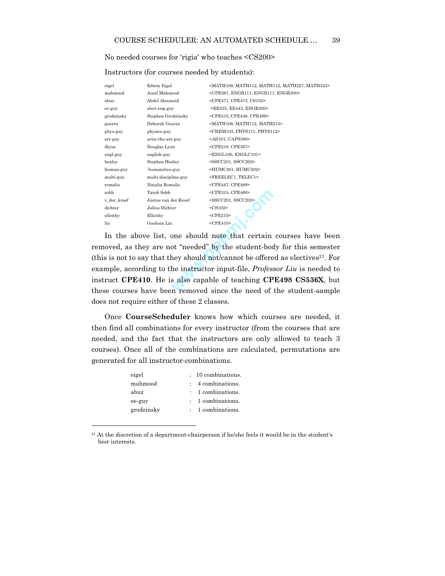No needed courses for 'rigia' who teaches <CS200>

Instructors (for courses needed by students):

| eigel       | Edwin Eigel          | <math109, math112,="" math227,="" math323=""></math109,> |
|-------------|----------------------|----------------------------------------------------------|
| mahmood     | Ausif Mahmood        | <cpe387, engr111,="" engr300=""></cpe387,>               |
| abuz        | Abdel Abuzneid       | <cpe471, cpe473,="" cs102=""></cpe471,>                  |
| ee-guy      | elect-eng-guy        | <ee235, ee443,="" engr300=""></ee235,>                   |
| grodzinsky  | Stephen Grodzinsky   | <cpe315, cpe448,="" cpe489=""></cpe315,>                 |
| guerra      | Deborah Guerra       | <math109, math112,="" math215=""></math109,>             |
| phys-guy    | physics-guy          | <chem103, phys111,="" phys112=""></chem103,>             |
| art-guy     | artie-the-art-guy    | <ad101, caps390=""></ad101,>                             |
| dlyon       | Douglas Lyon         | <cpe210, cpe387=""></cpe210,>                            |
| engl-guy    | english-guy          | <engl100, englc101=""></engl100,>                        |
| healey      | Stephen Healey       | <sscc201, sscc202=""></sscc201,>                         |
| human-guy   | humanities-guy       | <humc201, humc202=""></humc201,>                         |
| multi-guy   | multi-discipline-guy | <freelec1, telec1=""></freelec1,>                        |
| romalis     | Natalia Romalis      | <cpe447, cpe489=""></cpe447,>                            |
| sobh        | Tarek Sobh           | <cpe315, cpe460=""></cpe315,>                            |
| v_der_kroef | Justus van der Kroef | <sscc201, sscc202=""></sscc201,>                         |
| dichter     | Julius Dichter       | $<$ CS102 $>$                                            |
| elleithy    | Elleithy             | $<$ CPE210>                                              |
| liu         | Gonhsin Liu          | $<$ CPE410 $>$                                           |

<CPE315, CPE460><br>
<CPE315, CPE460><br>
<CS102><br>
<CS102><br>
<CPE210><br>
<CPE410><br>
one should note that certain<br>
one should not/cannot be offere<br>
he instructor input-file, *Profes*.<br>
s also capable of teaching CP<br>
n removed since t In the above list, one should note that certain courses have been removed, as they are not "needed" by the student-body for this semester (this is not to say that they should not/cannot be offered as electives $21$ . For example, according to the instructor input-file, *Professor Liu* is needed to instruct **CPE410**. He is also capable of teaching **CPE498 CS536X**, but these courses have been removed since the need of the student-sample does not require either of these 2 classes.

Once **CourseScheduler** knows how which courses are needed, it then find all combinations for every instructor (from the courses that are needed, and the fact that the instructors are only allowed to teach 3 courses). Once all of the combinations are calculated, permutations are generated for all instructor-combinations.

| eigel      | $: 10$ combinations.         |
|------------|------------------------------|
| mahmood    | $\therefore$ 4 combinations. |
| abuz       | $: 1$ combinations.          |
| ee-guy     | : 1 combinations.            |
| grodzinsky | $: 1$ combinations.          |
|            |                              |

<sup>&</sup>lt;sup>21</sup> At the discretion of a department-chairperson if he/she feels it would be in the student's best interests.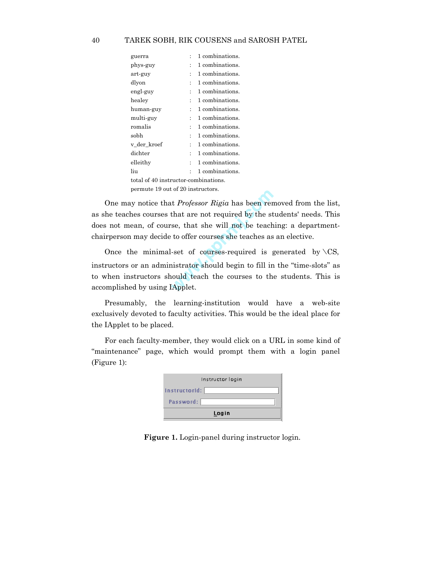| guerra                               |                      | 1 combinations. |
|--------------------------------------|----------------------|-----------------|
| phys-guy                             |                      | 1 combinations. |
| art-guy                              |                      | 1 combinations. |
| dlyon                                | $\ddot{\cdot}$       | 1 combinations. |
| engl-guy                             | $\ddot{\cdot}$       | 1 combinations. |
| healey                               | $\ddot{\cdot}$       | 1 combinations. |
| human-guy                            | $\ddot{\phantom{0}}$ | 1 combinations. |
| multi-guy                            | $\ddot{\cdot}$       | 1 combinations. |
| romalis                              | $\ddot{\phantom{0}}$ | 1 combinations. |
| sobh                                 | t                    | 1 combinations. |
| v_der_kroef                          | t                    | 1 combinations. |
| $\rm{dichter}$                       |                      | 1 combinations. |
| elleithy                             |                      | 1 combinations. |
| liu                                  |                      | 1 combinations. |
| total of 40 instructor-combinations. |                      |                 |
| permute 19 out of 20 instructors.    |                      |                 |

One may notice that *Professor Rigia* has been removed from the list, as she teaches courses that are not required by the students' needs. This does not mean, of course, that she will not be teaching: a departmentchairperson may decide to offer courses she teaches as an elective.

www.pphmj.com Once the minimal-set of courses-required is generated by  $\setminus CS$ , instructors or an administrator should begin to fill in the "time-slots" as to when instructors should teach the courses to the students. This is accomplished by using IApplet.

Presumably, the learning-institution would have a web-site exclusively devoted to faculty activities. This would be the ideal place for the IApplet to be placed.

For each faculty-member, they would click on a URL in some kind of "maintenance" page, which would prompt them with a login panel (Figure 1):

| Instructor login |
|------------------|
| InstructorId:    |
| Password:        |
| Login            |

**Figure 1.** Login-panel during instructor login.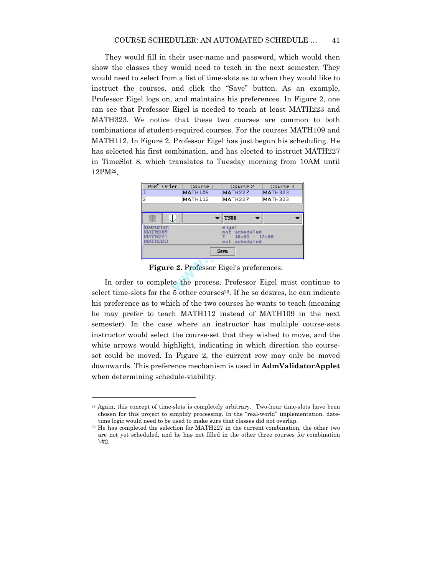They would fill in their user-name and password, which would then show the classes they would need to teach in the next semester. They would need to select from a list of time-slots as to when they would like to instruct the courses, and click the "Save" button. As an example, Professor Eigel logs on, and maintains his preferences. In Figure 2, one can see that Professor Eigel is needed to teach at least MATH223 and MATH323. We notice that these two courses are common to both combinations of student-required courses. For the courses MATH109 and MATH112. In Figure 2, Professor Eigel has just begun his scheduling. He has selected his first combination, and has elected to instruct MATH227 in TimeSlot 8, which translates to Tuesday morning from 10AM until 12PM22.



**Figure 2.** Professor Eigel's preferences.

In order to complete the process, Professor Eigel must continue to select time-slots for the  $5$  other courses<sup>23</sup>. If he so desires, he can indicate his preference as to which of the two courses he wants to teach (meaning he may prefer to teach MATH112 instead of MATH109 in the next semester). In the case where an instructor has multiple course-sets instructor would select the course-set that they wished to move, and the white arrows would highlight, indicating in which direction the courseset could be moved. In Figure 2, the current row may only be moved downwards. This preference mechanism is used in **AdmValidatorApplet** when determining schedule-viability.

1

<sup>22</sup> Again, this concept of time-slots is completely arbitrary. Two-hour time-slots have been chosen for this project to simplify processing. In the "real-world" implementation, datetime logic would need to be used to make sure that classes did not overlap.

<sup>23</sup> He has completed the selection for MATH227 in the current combination, the other two are not yet scheduled, and he has not filled in the other three courses for combination  $\setminus$ #2.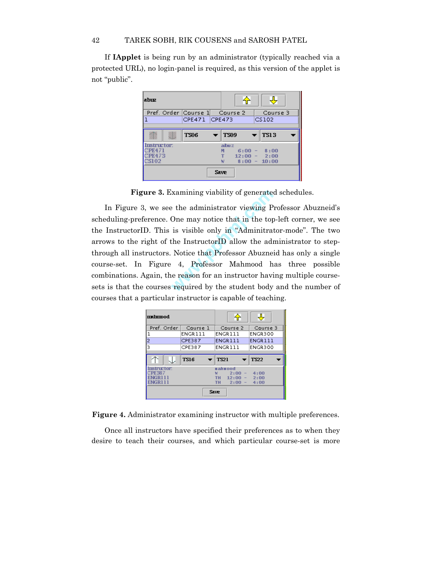If **IApplet** is being run by an administrator (typically reached via a protected URL), no login-panel is required, as this version of the applet is not "public".

| abuz                                                          |    |                               |      |                | 令 | ⊕                                                 |
|---------------------------------------------------------------|----|-------------------------------|------|----------------|---|---------------------------------------------------|
|                                                               |    | Pref. Order Course 1 Course 2 |      |                |   | Course 3                                          |
|                                                               |    | CPE471 CPE473                 |      |                |   | CS102                                             |
|                                                               | 36 | <b>TS06</b>                   |      | <b>TS09</b>    |   | TSI 3                                             |
| <b>Instructor:</b><br><b>EPE471</b><br><b>CPE473</b><br>CS102 |    |                               |      | abuz<br>М<br>₩ |   | $6:00 - 8:00$<br>$12:00 - 2:00$<br>$8:00 - 10:00$ |
|                                                               |    |                               | Save |                |   |                                                   |

**Figure 3.** Examining viability of generated schedules.

xamining viability of generate<br>
Exaministrator viewing P<br>
One may notice that in the top<br>
is visible only in "Adminitrat<br>
the InstructorID allow the adm<br>
Notice that Professor Abuzne<br>
4, Professor Mahmood h<br>
is reason for In Figure 3, we see the administrator viewing Professor Abuzneid's scheduling-preference. One may notice that in the top-left corner, we see the InstructorID. This is visible only in "Adminitrator-mode". The two arrows to the right of the InstructorID allow the administrator to stepthrough all instructors. Notice that Professor Abuzneid has only a single course-set. In Figure 4, Professor Mahmood has three possible combinations. Again, the reason for an instructor having multiple coursesets is that the courses required by the student body and the number of courses that a particular instructor is capable of teaching.

| mahmood     |             |                                                                        |              |  |  |  |  |
|-------------|-------------|------------------------------------------------------------------------|--------------|--|--|--|--|
| Pref. Order | Course 1    | Course 2                                                               | Course 3     |  |  |  |  |
| ı           | ENGR111     | ENGR111                                                                | ENGR300      |  |  |  |  |
| 2           | CPE387      | <b>ENGR111</b>                                                         | ENGR111      |  |  |  |  |
| 3           | CPE387      | ENGR111                                                                | ENGR300      |  |  |  |  |
|             | <b>TS16</b> | <b>TS21</b>                                                            | <b>TS22</b>  |  |  |  |  |
| Instructor: |             | <b>Hahmood</b>                                                         |              |  |  |  |  |
| PREST       |             | ω<br>2:00<br>$\hspace{0.1mm}-\hspace{0.1mm}$<br><b>TH</b><br>$12:00 -$ | 4:00<br>2:00 |  |  |  |  |
| ENGRITI     |             | <b>TH</b><br>2:00<br>$\sim$                                            | 4:00         |  |  |  |  |

**Figure 4.** Administrator examining instructor with multiple preferences.

Once all instructors have specified their preferences as to when they desire to teach their courses, and which particular course-set is more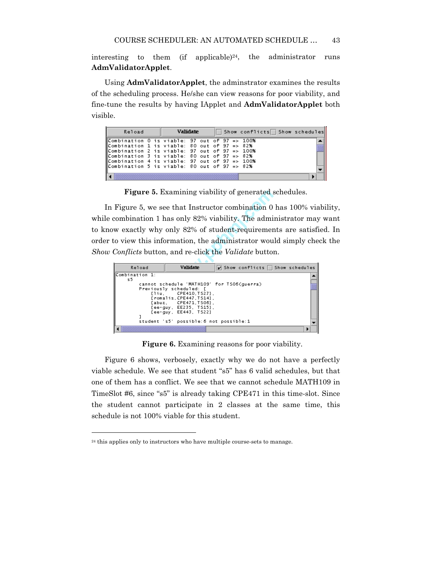interesting to them (if applicable)<sup>24</sup>, the administrator runs **AdmValidatorApplet**.

Using **AdmValidatorApplet**, the adminstrator examines the results of the scheduling process. He/she can view reasons for poor viability, and fine-tune the results by having IApplet and **AdmValidatorApplet** both visible.

| Reload                                                                                         |  | <b>Validate</b> |  |  | Show conflicts Show schedules |  |
|------------------------------------------------------------------------------------------------|--|-----------------|--|--|-------------------------------|--|
| Combination 0 is viable: 97 out of 97 => 100%<br>⊪Combination 1 is viable: 80 out of 97 => 82% |  |                 |  |  |                               |  |
| Combination 2 is viable: 97 out of 97 => 100%                                                  |  |                 |  |  |                               |  |
| Combination 3 is viable: 80 out of 97 => 82%<br>Combination 4 is viable: 97 out of 97 => 100%  |  |                 |  |  |                               |  |
| $\parallel$ Combination 5 is viable: 80 out of 97 => 82%                                       |  |                 |  |  |                               |  |
|                                                                                                |  |                 |  |  |                               |  |

**Figure 5.** Examining viability of generated schedules.

Amining viability of generated s<br>
that Instructor combination 0<br>
s only 82% viability. The admi<br>
samply 82% of student-requirement<br>
mation, the administrator wou<br>
and re-click the *Validate* butto:<br> **Validate**<br> **Example 1** In Figure 5, we see that Instructor combination 0 has 100% viability, while combination 1 has only 82% viability. The administrator may want to know exactly why only 82% of student-requirements are satisfied. In order to view this information, the administrator would simply check the *Show Conflicts* button, and re-click the *Validate* button.

| Reload         | <b>Validate</b>                            | $\triangleright$ Show conflicts   Show schedules |  |
|----------------|--------------------------------------------|--------------------------------------------------|--|
| Combination 1: |                                            |                                                  |  |
| 55.            |                                            |                                                  |  |
|                | cannot schedule 'MATH109' for TS06(querra) |                                                  |  |
|                | Previously scheduled: [                    |                                                  |  |
|                | ${1iu, CPE410, TS27}.$                     |                                                  |  |
|                | [romalis, CPE447, TS14].                   |                                                  |  |
|                |                                            |                                                  |  |
|                | {abuz, CPE471.TS06},                       |                                                  |  |
|                | {ee-quy, EE235, TS15},                     |                                                  |  |
|                | {ee-guv. EE443. TS22}                      |                                                  |  |
|                |                                            |                                                  |  |
|                | student 's5' possible: 6 not possible: 1   |                                                  |  |
|                |                                            |                                                  |  |
|                |                                            |                                                  |  |
|                |                                            |                                                  |  |

**Figure 6.** Examining reasons for poor viability.

Figure 6 shows, verbosely, exactly why we do not have a perfectly viable schedule. We see that student "s5" has 6 valid schedules, but that one of them has a conflict. We see that we cannot schedule MATH109 in TimeSlot #6, since "s5" is already taking CPE471 in this time-slot. Since the student cannot participate in 2 classes at the same time, this schedule is not 100% viable for this student.

<sup>&</sup>lt;sup>24</sup> this applies only to instructors who have multiple course-sets to manage.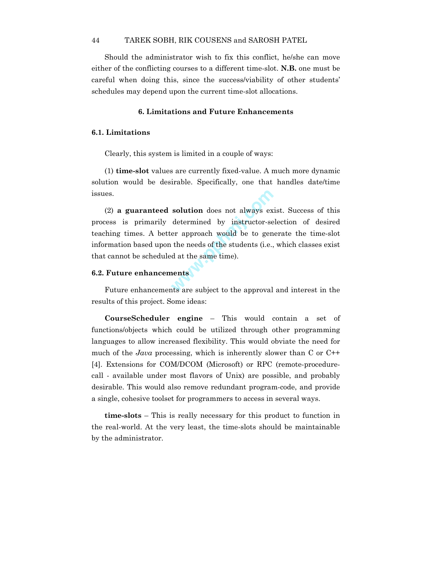Should the administrator wish to fix this conflict, he/she can move either of the conflicting courses to a different time-slot. **N.B.** one must be careful when doing this, since the success/viability of other students' schedules may depend upon the current time-slot allocations.

### **6. Limitations and Future Enhancements**

### **6.1. Limitations**

Clearly, this system is limited in a couple of ways:

(1) **time-slot** values are currently fixed-value. A much more dynamic solution would be desirable. Specifically, one that handles date/time issues.

solution does not always ex<br>determined by instructor-se<br>er approach would be to gen<br>the needs of the students (i.e.,<br>d at the same time).<br>nents (2) **a guaranteed solution** does not always exist. Success of this process is primarily determined by instructor-selection of desired teaching times. A better approach would be to generate the time-slot information based upon the needs of the students (i.e., which classes exist that cannot be scheduled at the same time).

### **6.2. Future enhancements**

Future enhancements are subject to the approval and interest in the results of this project. Some ideas:

**CourseScheduler engine** – This would contain a set of functions/objects which could be utilized through other programming languages to allow increased flexibility. This would obviate the need for much of the *Java* processing, which is inherently slower than C or C++ [4]. Extensions for COM/DCOM (Microsoft) or RPC (remote-procedurecall - available under most flavors of Unix) are possible, and probably desirable. This would also remove redundant program-code, and provide a single, cohesive toolset for programmers to access in several ways.

**time-slots** – This is really necessary for this product to function in the real-world. At the very least, the time-slots should be maintainable by the administrator.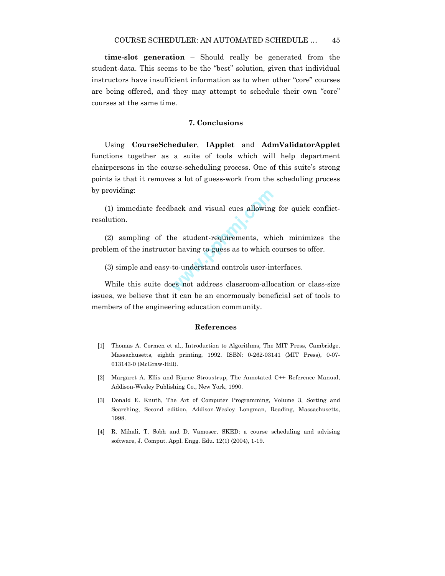**time-slot generation** – Should really be generated from the student-data. This seems to be the "best" solution, given that individual instructors have insufficient information as to when other "core" courses are being offered, and they may attempt to schedule their own "core" courses at the same time.

#### **7. Conclusions**

Using **CourseScheduler**, **IApplet** and **AdmValidatorApplet** functions together as a suite of tools which will help department chairpersons in the course-scheduling process. One of this suite's strong points is that it removes a lot of guess-work from the scheduling process by providing:

back and visual cues allowing<br>he student-requirements, wh<br>pr having to guess as to which c<br>to-understand controls user-in<br>es not address classroom-allo (1) immediate feedback and visual cues allowing for quick conflictresolution.

(2) sampling of the student-requirements, which minimizes the problem of the instructor having to guess as to which courses to offer.

(3) simple and easy-to-understand controls user-interfaces.

While this suite does not address classroom-allocation or class-size issues, we believe that it can be an enormously beneficial set of tools to members of the engineering education community.

#### **References**

- [1] Thomas A. Cormen et al., Introduction to Algorithms, The MIT Press, Cambridge, Massachusetts, eighth printing, 1992. ISBN: 0-262-03141 (MIT Press), 0-07- 013143-0 (McGraw-Hill).
- [2] Margaret A. Ellis and Bjarne Stroustrup, The Annotated C++ Reference Manual, Addison-Wesley Publishing Co., New York, 1990.
- [3] Donald E. Knuth, The Art of Computer Programming, Volume 3, Sorting and Searching, Second edition, Addison-Wesley Longman, Reading, Massachusetts, 1998.
- [4] R. Mihali, T. Sobh and D. Vamoser, SKED: a course scheduling and advising software, J. Comput. Appl. Engg. Edu. 12(1) (2004), 1-19.